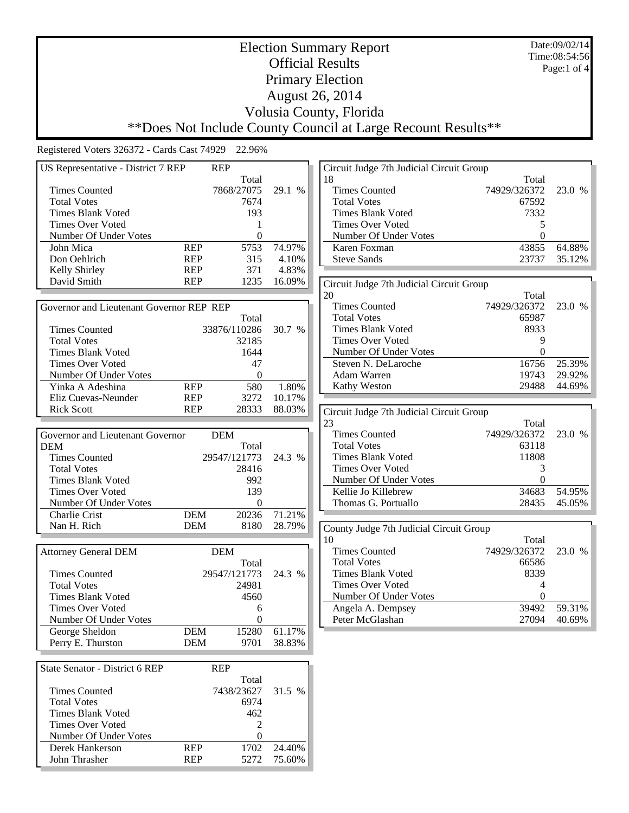Date:09/02/14 Time:08:54:56 Page:1 of 4

## Election Summary Report Official Results Primary Election August 26, 2014 Volusia County, Florida \*\*Does Not Include County Council at Large Recount Results\*\*

| <b>REP</b><br>US Representative - District 7 REP |                          |                  | Circuit Judge 7th Judicial Circuit Group |                                          |                  |        |
|--------------------------------------------------|--------------------------|------------------|------------------------------------------|------------------------------------------|------------------|--------|
|                                                  |                          | Total            |                                          | 18                                       | Total            |        |
| <b>Times Counted</b>                             |                          | 7868/27075       | 29.1 %                                   | <b>Times Counted</b>                     | 74929/326372     | 23.0 % |
| <b>Total Votes</b>                               |                          | 7674             |                                          | <b>Total Votes</b>                       | 67592            |        |
| <b>Times Blank Voted</b>                         |                          | 193              |                                          | <b>Times Blank Voted</b>                 | 7332             |        |
| <b>Times Over Voted</b>                          |                          | 1                |                                          | <b>Times Over Voted</b>                  | 5                |        |
| Number Of Under Votes                            |                          | $\mathbf{0}$     |                                          | Number Of Under Votes                    | $\boldsymbol{0}$ |        |
| John Mica                                        | <b>REP</b>               | 5753             | 74.97%                                   | Karen Foxman                             | 43855            | 64.88% |
| Don Oehlrich                                     | <b>REP</b>               | 315              | 4.10%                                    | <b>Steve Sands</b>                       | 23737            | 35.12% |
| Kelly Shirley                                    | <b>REP</b>               | 371              | 4.83%                                    |                                          |                  |        |
| David Smith                                      | <b>REP</b>               | 1235             | 16.09%                                   | Circuit Judge 7th Judicial Circuit Group |                  |        |
|                                                  |                          |                  |                                          | 20                                       | Total            |        |
| Governor and Lieutenant Governor REP REP         |                          |                  |                                          | <b>Times Counted</b>                     | 74929/326372     | 23.0 % |
|                                                  |                          | Total            |                                          | <b>Total Votes</b>                       | 65987            |        |
| <b>Times Counted</b>                             |                          | 33876/110286     | 30.7 %                                   | <b>Times Blank Voted</b>                 | 8933             |        |
| <b>Total Votes</b>                               |                          | 32185            |                                          | <b>Times Over Voted</b>                  | 9                |        |
| <b>Times Blank Voted</b>                         |                          | 1644             |                                          | Number Of Under Votes                    | $\Omega$         |        |
|                                                  |                          |                  |                                          |                                          | 16756            | 25.39% |
| <b>Times Over Voted</b>                          |                          | 47               |                                          | Steven N. DeLaroche                      |                  |        |
| Number Of Under Votes                            |                          | $\Omega$         |                                          | Adam Warren                              | 19743            | 29.92% |
| Yinka A Adeshina                                 | <b>REP</b>               | 580              | 1.80%                                    | Kathy Weston                             | 29488            | 44.69% |
| Eliz Cuevas-Neunder                              | <b>REP</b>               | 3272             | 10.17%                                   |                                          |                  |        |
| <b>Rick Scott</b>                                | <b>REP</b>               | 28333            | 88.03%                                   | Circuit Judge 7th Judicial Circuit Group |                  |        |
|                                                  |                          |                  |                                          | 23                                       | Total            |        |
| Governor and Lieutenant Governor                 |                          | <b>DEM</b>       |                                          | <b>Times Counted</b>                     | 74929/326372     | 23.0 % |
| <b>DEM</b>                                       |                          | Total            |                                          | <b>Total Votes</b>                       | 63118            |        |
| <b>Times Counted</b>                             |                          | 29547/121773     | 24.3 %                                   | <b>Times Blank Voted</b>                 | 11808            |        |
| <b>Total Votes</b>                               |                          | 28416            |                                          | Times Over Voted                         | 3                |        |
| <b>Times Blank Voted</b>                         |                          | 992              |                                          | Number Of Under Votes                    | $\Omega$         |        |
| <b>Times Over Voted</b>                          |                          | 139              |                                          | Kellie Jo Killebrew                      | 34683            | 54.95% |
| Number Of Under Votes                            |                          | $\Omega$         |                                          | Thomas G. Portuallo                      | 28435            | 45.05% |
| Charlie Crist                                    | <b>DEM</b>               | 20236            | 71.21%                                   |                                          |                  |        |
| Nan H. Rich                                      | <b>DEM</b>               | 8180             | 28.79%                                   | County Judge 7th Judicial Circuit Group  |                  |        |
|                                                  |                          |                  |                                          | 10                                       | Total            |        |
| <b>Attorney General DEM</b>                      |                          | <b>DEM</b>       |                                          | <b>Times Counted</b>                     | 74929/326372     | 23.0 % |
|                                                  |                          | Total            |                                          | <b>Total Votes</b>                       | 66586            |        |
| <b>Times Counted</b>                             |                          | 29547/121773     | 24.3 %                                   | <b>Times Blank Voted</b>                 | 8339             |        |
| <b>Total Votes</b>                               |                          | 24981            |                                          | <b>Times Over Voted</b>                  | 4                |        |
| <b>Times Blank Voted</b>                         |                          | 4560             |                                          | Number Of Under Votes                    | 0                |        |
| <b>Times Over Voted</b>                          |                          | 6                |                                          | Angela A. Dempsey                        | 39492            | 59.31% |
|                                                  |                          | $\theta$         |                                          | Peter McGlashan                          | 27094            | 40.69% |
| Number Of Under Votes                            |                          |                  | 61.17%                                   |                                          |                  |        |
| George Sheldon<br>Perry E. Thurston              | <b>DEM</b><br><b>DEM</b> | 15280<br>9701    | 38.83%                                   |                                          |                  |        |
|                                                  |                          |                  |                                          |                                          |                  |        |
|                                                  |                          |                  |                                          |                                          |                  |        |
| <b>State Senator - District 6 REP</b>            | <b>REP</b>               |                  |                                          |                                          |                  |        |
|                                                  |                          | Total            |                                          |                                          |                  |        |
| <b>Times Counted</b>                             |                          | 7438/23627       | 31.5 %                                   |                                          |                  |        |
| <b>Total Votes</b>                               |                          | 6974             |                                          |                                          |                  |        |
| <b>Times Blank Voted</b>                         |                          | 462              |                                          |                                          |                  |        |
| <b>Times Over Voted</b>                          |                          | 2                |                                          |                                          |                  |        |
| Number Of Under Votes                            |                          | $\boldsymbol{0}$ |                                          |                                          |                  |        |
| Derek Hankerson                                  | <b>REP</b>               | 1702             | 24.40%                                   |                                          |                  |        |
| John Thrasher                                    | <b>REP</b>               | 5272             | 75.60%                                   |                                          |                  |        |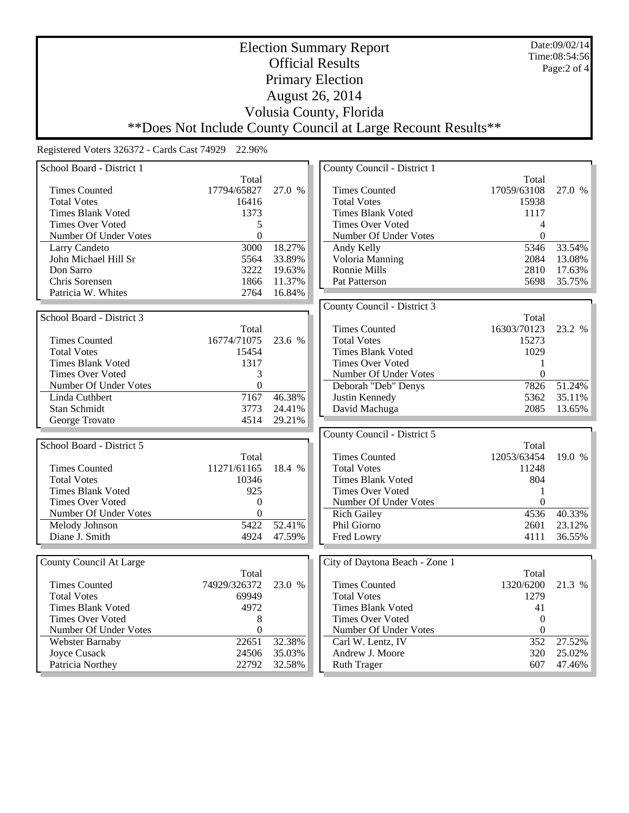Date:09/02/14 Time:08:54:56 Page:2 of 4

## Election Summary Report Official Results Primary Election August 26, 2014 Volusia County, Florida \*\*Does Not Include County Council at Large Recount Results\*\*

| School Board - District 1        |                   |                  | County Council - District 1           |                  |                  |
|----------------------------------|-------------------|------------------|---------------------------------------|------------------|------------------|
|                                  | Total             |                  |                                       | Total            |                  |
| <b>Times Counted</b>             | 17794/65827       | 27.0 %           | <b>Times Counted</b>                  | 17059/63108      | 27.0 %           |
| <b>Total Votes</b>               | 16416             |                  | <b>Total Votes</b>                    | 15938            |                  |
| <b>Times Blank Voted</b>         | 1373              |                  | <b>Times Blank Voted</b>              | 1117             |                  |
| <b>Times Over Voted</b>          | 5                 |                  | <b>Times Over Voted</b>               | 4                |                  |
| Number Of Under Votes            | $\boldsymbol{0}$  |                  | Number Of Under Votes                 | $\overline{0}$   |                  |
| Larry Candeto                    | $\overline{3000}$ | 18.27%           | Andy Kelly                            | 5346             | 33.54%           |
| John Michael Hill Sr             | 5564              | 33.89%           | Voloria Manning                       | 2084             | 13.08%           |
| Don Sarro                        | 3222              | 19.63%           | Ronnie Mills                          | 2810             | 17.63%           |
| Chris Sorensen                   | 1866              | 11.37%           | Pat Patterson                         | 5698             | 35.75%           |
| Patricia W. Whites               | 2764              | 16.84%           |                                       |                  |                  |
|                                  |                   |                  | County Council - District 3           |                  |                  |
| School Board - District 3        |                   |                  |                                       | Total            |                  |
|                                  | Total             |                  | <b>Times Counted</b>                  | 16303/70123      | 23.2 %           |
| <b>Times Counted</b>             | 16774/71075       | 23.6 %           | <b>Total Votes</b>                    | 15273            |                  |
| <b>Total Votes</b>               | 15454             |                  | <b>Times Blank Voted</b>              | 1029             |                  |
| <b>Times Blank Voted</b>         | 1317              |                  | <b>Times Over Voted</b>               | 1                |                  |
| <b>Times Over Voted</b>          | 3                 |                  | Number Of Under Votes                 | $\mathbf{0}$     |                  |
| Number Of Under Votes            | $\boldsymbol{0}$  |                  | Deborah "Deb" Denys                   | 7826             | 51.24%           |
| Linda Cuthbert                   | 7167              | 46.38%           | Justin Kennedy                        | 5362             | 35.11%           |
| Stan Schmidt                     | 3773              | 24.41%           |                                       | 2085             | 13.65%           |
| George Trovato                   | 4514              | 29.21%           | David Machuga                         |                  |                  |
|                                  |                   |                  |                                       |                  |                  |
|                                  |                   |                  |                                       |                  |                  |
|                                  |                   |                  | County Council - District 5           |                  |                  |
| School Board - District 5        |                   |                  |                                       | Total            |                  |
|                                  | Total             |                  | <b>Times Counted</b>                  | 12053/63454      | 19.0%            |
| <b>Times Counted</b>             | 11271/61165       | 18.4 %           | <b>Total Votes</b>                    | 11248            |                  |
| <b>Total Votes</b>               | 10346             |                  | <b>Times Blank Voted</b>              | 804              |                  |
| <b>Times Blank Voted</b>         | 925               |                  | <b>Times Over Voted</b>               | 1                |                  |
| <b>Times Over Voted</b>          | $\boldsymbol{0}$  |                  | Number Of Under Votes                 | $\Omega$         |                  |
| Number Of Under Votes            | $\boldsymbol{0}$  |                  | <b>Rich Gailey</b>                    | 4536             | 40.33%           |
| Melody Johnson                   | 5422              | 52.41%           | Phil Giorno                           | 2601             | 23.12%           |
| Diane J. Smith                   | 4924              | 47.59%           | Fred Lowry                            | 4111             | 36.55%           |
|                                  |                   |                  |                                       |                  |                  |
| County Council At Large          |                   |                  | City of Daytona Beach - Zone 1        |                  |                  |
|                                  | Total             |                  |                                       | Total            |                  |
| <b>Times Counted</b>             | 74929/326372      | 23.0 %           | <b>Times Counted</b>                  | 1320/6200        | 21.3 %           |
| <b>Total Votes</b>               | 69949             |                  | <b>Total Votes</b>                    | 1279             |                  |
| <b>Times Blank Voted</b>         | 4972              |                  | <b>Times Blank Voted</b>              | 41               |                  |
| <b>Times Over Voted</b>          | 8                 |                  | <b>Times Over Voted</b>               | $\boldsymbol{0}$ |                  |
| Number Of Under Votes            | $\boldsymbol{0}$  |                  | Number Of Under Votes                 | $\boldsymbol{0}$ |                  |
| Webster Barnaby                  | 22651             | 32.38%           | Carl W. Lentz, IV                     | 352              | 27.52%           |
| Joyce Cusack<br>Patricia Northey | 24506<br>22792    | 35.03%<br>32.58% | Andrew J. Moore<br><b>Ruth Trager</b> | 320<br>607       | 25.02%<br>47.46% |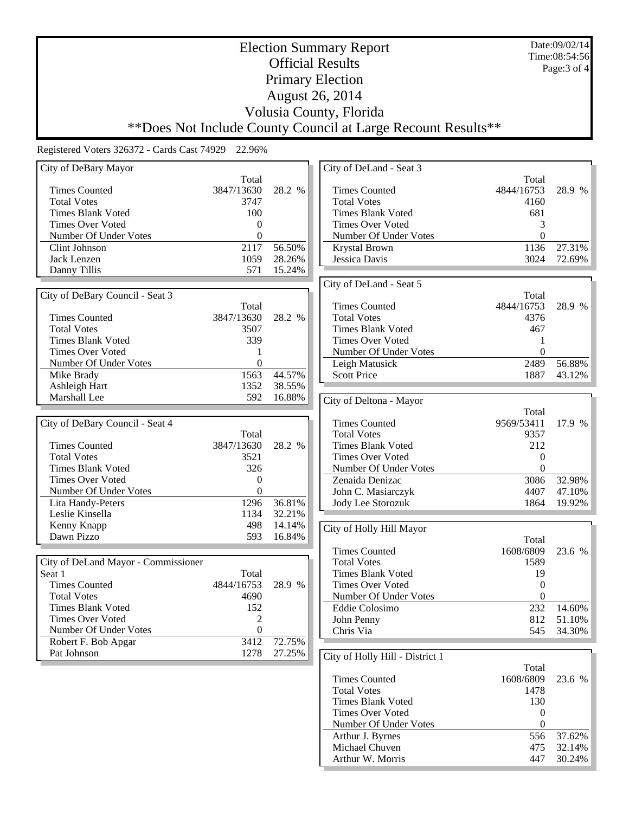Date:09/02/14 Time:08:54:56 Page:3 of 4

## Election Summary Report Official Results Primary Election August 26, 2014 Volusia County, Florida \*\*Does Not Include County Council at Large Recount Results\*\*

| City of DeBary Mayor                |                  |        | City of DeLand - Seat 3         |                    |            |
|-------------------------------------|------------------|--------|---------------------------------|--------------------|------------|
|                                     | Total            |        |                                 | Total              |            |
| <b>Times Counted</b>                | 3847/13630       | 28.2 % | <b>Times Counted</b>            | 4844/16753         | 28.9 %     |
| <b>Total Votes</b>                  | 3747             |        | <b>Total Votes</b>              | 4160               |            |
| <b>Times Blank Voted</b>            | 100              |        | <b>Times Blank Voted</b>        | 681                |            |
| <b>Times Over Voted</b>             | 0                |        | <b>Times Over Voted</b>         | 3                  |            |
| Number Of Under Votes               | 0                |        | Number Of Under Votes           | $\theta$           |            |
| Clint Johnson                       | 2117             | 56.50% | Krystal Brown                   | 1136               | 27.31%     |
| Jack Lenzen                         | 1059             | 28.26% | Jessica Davis                   | 3024               | 72.69%     |
| Danny Tillis                        | 571              | 15.24% |                                 |                    |            |
|                                     |                  |        |                                 |                    |            |
|                                     |                  |        | City of DeLand - Seat 5         |                    |            |
| City of DeBary Council - Seat 3     |                  |        |                                 | Total              |            |
|                                     | Total            |        | <b>Times Counted</b>            | 4844/16753         | 28.9 %     |
| <b>Times Counted</b>                | 3847/13630       | 28.2 % | <b>Total Votes</b>              | 4376               |            |
| <b>Total Votes</b>                  | 3507             |        | <b>Times Blank Voted</b>        | 467                |            |
| <b>Times Blank Voted</b>            | 339              |        | <b>Times Over Voted</b>         | 1                  |            |
| <b>Times Over Voted</b>             | 1                |        | Number Of Under Votes           | $\theta$           |            |
| Number Of Under Votes               | $\boldsymbol{0}$ |        | Leigh Matusick                  | 2489               | 56.88%     |
| Mike Brady                          | 1563             | 44.57% | <b>Scott Price</b>              | 1887               | 43.12%     |
| Ashleigh Hart                       | 1352             | 38.55% |                                 |                    |            |
| Marshall Lee                        | 592              | 16.88% | City of Deltona - Mayor         |                    |            |
|                                     |                  |        |                                 | Total              |            |
| City of DeBary Council - Seat 4     |                  |        | <b>Times Counted</b>            | 9569/53411         | 17.9 %     |
|                                     | Total            |        | <b>Total Votes</b>              | 9357               |            |
| <b>Times Counted</b>                | 3847/13630       | 28.2 % | <b>Times Blank Voted</b>        | 212                |            |
| <b>Total Votes</b>                  | 3521             |        | <b>Times Over Voted</b>         | $\theta$           |            |
| <b>Times Blank Voted</b>            | 326              |        | Number Of Under Votes           | $\theta$           |            |
| <b>Times Over Voted</b>             | $\boldsymbol{0}$ |        | Zenaida Denizac                 | 3086               | 32.98%     |
| Number Of Under Votes               | $\mathbf{0}$     |        | John C. Masiarczyk              | 4407               | 47.10%     |
| Lita Handy-Peters                   | 1296             | 36.81% | Jody Lee Storozuk               | 1864               | 19.92%     |
| Leslie Kinsella                     | 1134             | 32.21% |                                 |                    |            |
| Kenny Knapp                         | 498              | 14.14% |                                 |                    |            |
| Dawn Pizzo                          | 593              | 16.84% | City of Holly Hill Mayor        |                    |            |
|                                     |                  |        | <b>Times Counted</b>            | Total<br>1608/6809 |            |
|                                     |                  |        |                                 |                    | 23.6 %     |
| City of DeLand Mayor - Commissioner |                  |        | <b>Total Votes</b>              | 1589               |            |
| Seat 1                              | Total            |        | <b>Times Blank Voted</b>        | 19                 |            |
| <b>Times Counted</b>                | 4844/16753       | 28.9 % | <b>Times Over Voted</b>         | $\boldsymbol{0}$   |            |
| <b>Total Votes</b>                  | 4690             |        | Number Of Under Votes           | $\mathbf{0}$       |            |
| <b>Times Blank Voted</b>            | 152              |        | Eddie Colosimo                  | 232                | 14.60%     |
| <b>Times Over Voted</b>             | $\mathfrak{D}$   |        | John Penny                      | 812                | 51.10%     |
| Number Of Under Votes               | $\boldsymbol{0}$ |        | Chris Via                       |                    | 545 34.30% |
| Robert F. Bob Apgar                 | 3412             | 72.75% |                                 |                    |            |
| Pat Johnson                         | 1278             | 27.25% | City of Holly Hill - District 1 |                    |            |
|                                     |                  |        |                                 | Total              |            |
|                                     |                  |        | <b>Times Counted</b>            | 1608/6809          | 23.6 %     |
|                                     |                  |        | <b>Total Votes</b>              | 1478               |            |
|                                     |                  |        | <b>Times Blank Voted</b>        | 130                |            |
|                                     |                  |        | <b>Times Over Voted</b>         | $\mathbf{0}$       |            |
|                                     |                  |        | Number Of Under Votes           | $\theta$           |            |
|                                     |                  |        | Arthur J. Byrnes                | 556                | 37.62%     |
|                                     |                  |        | Michael Chuven                  | 475                | 32.14%     |
|                                     |                  |        | Arthur W. Morris                | 447                | 30.24%     |
|                                     |                  |        |                                 |                    |            |